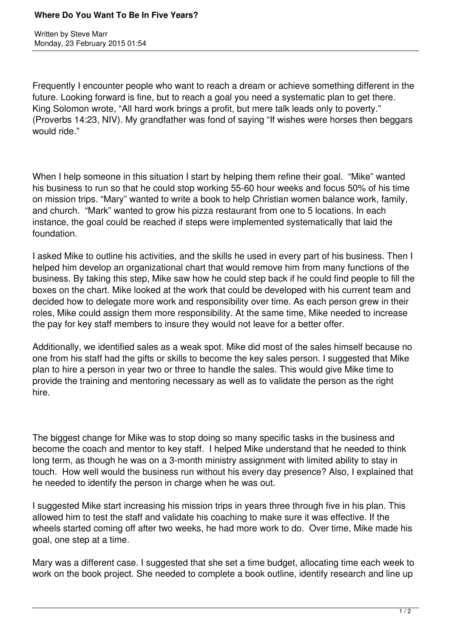Written by Steve Marr Monday, 23 February 2015 01:54

Frequently I encounter people who want to reach a dream or achieve something different in the future. Looking forward is fine, but to reach a goal you need a systematic plan to get there. King Solomon wrote, "All hard work brings a profit, but mere talk leads only to poverty." (Proverbs 14:23, NIV). My grandfather was fond of saying "If wishes were horses then beggars would ride."

When I help someone in this situation I start by helping them refine their goal. "Mike" wanted his business to run so that he could stop working 55-60 hour weeks and focus 50% of his time on mission trips. "Mary" wanted to write a book to help Christian women balance work, family, and church. "Mark" wanted to grow his pizza restaurant from one to 5 locations. In each instance, the goal could be reached if steps were implemented systematically that laid the foundation.

I asked Mike to outline his activities, and the skills he used in every part of his business. Then I helped him develop an organizational chart that would remove him from many functions of the business. By taking this step, Mike saw how he could step back if he could find people to fill the boxes on the chart. Mike looked at the work that could be developed with his current team and decided how to delegate more work and responsibility over time. As each person grew in their roles, Mike could assign them more responsibility. At the same time, Mike needed to increase the pay for key staff members to insure they would not leave for a better offer.

Additionally, we identified sales as a weak spot. Mike did most of the sales himself because no one from his staff had the gifts or skills to become the key sales person. I suggested that Mike plan to hire a person in year two or three to handle the sales. This would give Mike time to provide the training and mentoring necessary as well as to validate the person as the right hire.

The biggest change for Mike was to stop doing so many specific tasks in the business and become the coach and mentor to key staff. I helped Mike understand that he needed to think long term, as though he was on a 3-month ministry assignment with limited ability to stay in touch. How well would the business run without his every day presence? Also, I explained that he needed to identify the person in charge when he was out.

I suggested Mike start increasing his mission trips in years three through five in his plan. This allowed him to test the staff and validate his coaching to make sure it was effective. If the wheels started coming off after two weeks, he had more work to do. Over time, Mike made his goal, one step at a time.

Mary was a different case. I suggested that she set a time budget, allocating time each week to work on the book project. She needed to complete a book outline, identify research and line up